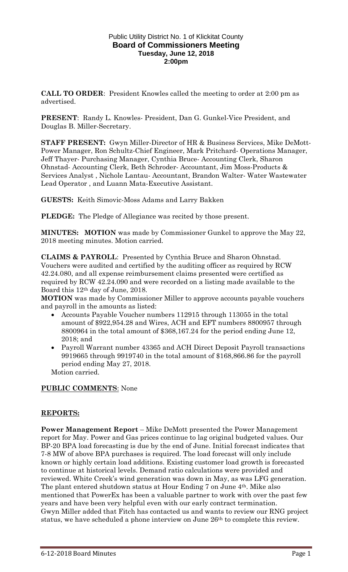### Public Utility District No. 1 of Klickitat County **Board of Commissioners Meeting Tuesday, June 12, 2018 2:00pm**

**CALL TO ORDER**: President Knowles called the meeting to order at 2:00 pm as advertised.

**PRESENT**: Randy L. Knowles- President, Dan G. Gunkel-Vice President, and Douglas B. Miller-Secretary.

**STAFF PRESENT:** Gwyn Miller-Director of HR & Business Services, Mike DeMott-Power Manager, Ron Schultz-Chief Engineer, Mark Pritchard- Operations Manager, Jeff Thayer- Purchasing Manager, Cynthia Bruce- Accounting Clerk, Sharon Ohnstad- Accounting Clerk, Beth Schroder- Accountant, Jim Moss-Products & Services Analyst , Nichole Lantau- Accountant, Brandon Walter- Water Wastewater Lead Operator , and Luann Mata-Executive Assistant.

**GUESTS:** Keith Simovic-Moss Adams and Larry Bakken

**PLEDGE:** The Pledge of Allegiance was recited by those present.

**MINUTES: MOTION** was made by Commissioner Gunkel to approve the May 22, 2018 meeting minutes. Motion carried.

**CLAIMS & PAYROLL**: Presented by Cynthia Bruce and Sharon Ohnstad. Vouchers were audited and certified by the auditing officer as required by RCW 42.24.080, and all expense reimbursement claims presented were certified as required by RCW 42.24.090 and were recorded on a listing made available to the Board this 12th day of June, 2018.

**MOTION** was made by Commissioner Miller to approve accounts payable vouchers and payroll in the amounts as listed:

- Accounts Payable Voucher numbers 112915 through 113055 in the total amount of \$922,954.28 and Wires, ACH and EFT numbers 8800957 through 8800964 in the total amount of \$368,167.24 for the period ending June 12, 2018; and
- Payroll Warrant number 43365 and ACH Direct Deposit Payroll transactions 9919665 through 9919740 in the total amount of \$168,866.86 for the payroll period ending May 27, 2018.

Motion carried.

## **PUBLIC COMMENTS**: None

## **REPORTS:**

**Power Management Report** – Mike DeMott presented the Power Management report for May. Power and Gas prices continue to lag original budgeted values. Our BP-20 BPA load forecasting is due by the end of June. Initial forecast indicates that 7-8 MW of above BPA purchases is required. The load forecast will only include known or highly certain load additions. Existing customer load growth is forecasted to continue at historical levels. Demand ratio calculations were provided and reviewed. White Creek's wind generation was down in May, as was LFG generation. The plant entered shutdown status at Hour Ending 7 on June 4th. Mike also mentioned that PowerEx has been a valuable partner to work with over the past few years and have been very helpful even with our early contract termination. Gwyn Miller added that Fitch has contacted us and wants to review our RNG project status, we have scheduled a phone interview on June 26th to complete this review.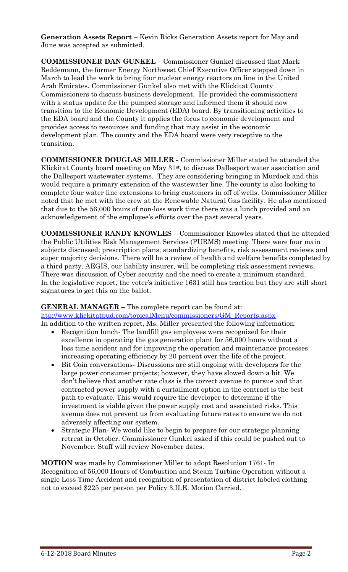**Generation Assets Report** – Kevin Ricks Generation Assets report for May and June was accepted as submitted.

**COMMISSIONER DAN GUNKEL –** Commissioner Gunkel discussed that Mark Reddemann, the former Energy Northwest Chief Executive Officer stepped down in March to lead the work to bring four nuclear energy reactors on line in the United Arab Emirates. Commissioner Gunkel also met with the Klickitat County Commissioners to discuss business development. He provided the commissioners with a status update for the pumped storage and informed them it should now transition to the Economic Development (EDA) board. By transitioning activities to the EDA board and the County it applies the focus to economic development and provides access to resources and funding that may assist in the economic development plan. The county and the EDA board were very receptive to the transition.

**COMMISSIONER DOUGLAS MILLER -** Commissioner Miller stated he attended the Klickitat County board meeting on May 31<sup>st</sup>, to discuss Dallesport water association and the Dallesport wastewater systems. They are considering bringing in Murdock and this would require a primary extension of the wastewater line. The county is also looking to complete four water line extensions to bring customers in off of wells. Commissioner Miller noted that he met with the crew at the Renewable Natural Gas facility. He also mentioned that due to the 56,000 hours of non-loss work time there was a lunch provided and an acknowledgement of the employee's efforts over the past several years.

**COMMISSIONER RANDY KNOWLES** – Commissioner Knowles stated that he attended the Public Utilities Risk Management Services (PURMS) meeting. There were four main subjects discussed; prescription plans, standardizing benefits, risk assessment reviews and super majority decisions. There will be a review of health and welfare benefits completed by a third party. AEGIS, our liability insurer, will be completing risk assessment reviews. There was discussion of Cyber security and the need to create a minimum standard. In the legislative report, the voter's initiative 1631 still has traction but they are still short signatures to get this on the ballot.

## **GENERAL MANAGER –** The complete report can be found at:

[htp://www.klickitatpud.com/topicalMenu/commissioners/GM\\_Reports.aspx](http://www.klickitatpud.com/topicalMenu/commissioners/GM_Reports.aspx) In addition to the written report, Ms. Miller presented the following information:

- Recognition lunch- The landfill gas employees were recognized for their excellence in operating the gas generation plant for 56,000 hours without a loss time accident and for improving the operation and maintenance processes increasing operating efficiency by 20 percent over the life of the project.
- Bit Coin conversations- Discussions are still ongoing with developers for the large power consumer projects; however, they have slowed down a bit. We don't believe that another rate class is the correct avenue to pursue and that contracted power supply with a curtailment option in the contract is the best path to evaluate. This would require the developer to determine if the investment is viable given the power supply cost and associated risks. This avenue does not prevent us from evaluating future rates to ensure we do not adversely affecting our system.
- Strategic Plan- We would like to begin to prepare for our strategic planning retreat in October. Commissioner Gunkel asked if this could be pushed out to November. Staff will review November dates.

**MOTION** was made by Commissioner Miller to adopt Resolution 1761- In Recognition of 56,000 Hours of Combustion and Steam Turbine Operation without a single Loss Time Accident and recognition of presentation of district labeled clothing not to exceed \$225 per person per Policy 3.II.E. Motion Carried.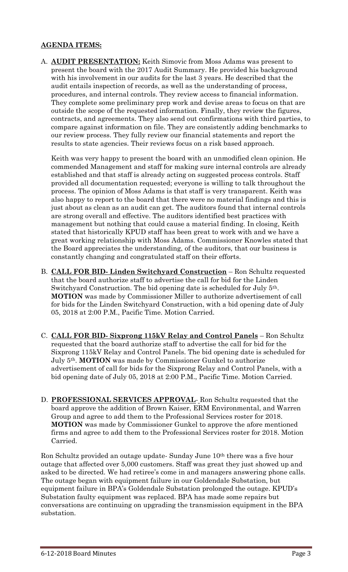# **AGENDA ITEMS:**

A. **AUDIT PRESENTATION:** Keith Simovic from Moss Adams was present to present the board with the 2017 Audit Summary. He provided his background with his involvement in our audits for the last 3 years. He described that the audit entails inspection of records, as well as the understanding of process, procedures, and internal controls. They review access to financial information. They complete some preliminary prep work and devise areas to focus on that are outside the scope of the requested information. Finally, they review the figures, contracts, and agreements. They also send out confirmations with third parties, to compare against information on file. They are consistently adding benchmarks to our review process. They fully review our financial statements and report the results to state agencies. Their reviews focus on a risk based approach.

Keith was very happy to present the board with an unmodified clean opinion. He commended Management and staff for making sure internal controls are already established and that staff is already acting on suggested process controls. Staff provided all documentation requested; everyone is willing to talk throughout the process. The opinion of Moss Adams is that staff is very transparent. Keith was also happy to report to the board that there were no material findings and this is just about as clean as an audit can get. The auditors found that internal controls are strong overall and effective. The auditors identified best practices with management but nothing that could cause a material finding. In closing, Keith stated that historically KPUD staff has been great to work with and we have a great working relationship with Moss Adams. Commissioner Knowles stated that the Board appreciates the understanding, of the auditors, that our business is constantly changing and congratulated staff on their efforts.

- B. **CALL FOR BID- Linden Switchyard Construction** Ron Schultz requested that the board authorize staff to advertise the call for bid for the Linden Switchyard Construction. The bid opening date is scheduled for July 5th. **MOTION** was made by Commissioner Miller to authorize advertisement of call for bids for the Linden Switchyard Construction, with a bid opening date of July 05, 2018 at 2:00 P.M., Pacific Time. Motion Carried.
- C. **CALL FOR BID- Sixprong 115kV Relay and Control Panels** Ron Schultz requested that the board authorize staff to advertise the call for bid for the Sixprong 115kV Relay and Control Panels. The bid opening date is scheduled for July 5th. **MOTION** was made by Commissioner Gunkel to authorize advertisement of call for bids for the Sixprong Relay and Control Panels, with a bid opening date of July 05, 2018 at 2:00 P.M., Pacific Time. Motion Carried.
- D. **PROFESSIONAL SERVICES APPROVAL** Ron Schultz requested that the board approve the addition of Brown Kaiser, ERM Environmental, and Warren Group and agree to add them to the Professional Services roster for 2018. **MOTION** was made by Commissioner Gunkel to approve the afore mentioned firms and agree to add them to the Professional Services roster for 2018. Motion Carried.

Ron Schultz provided an outage update- Sunday June 10th there was a five hour outage that affected over 5,000 customers. Staff was great they just showed up and asked to be directed. We had retiree's come in and managers answering phone calls. The outage began with equipment failure in our Goldendale Substation, but equipment failure in BPA's Goldendale Substation prolonged the outage. KPUD's Substation faulty equipment was replaced. BPA has made some repairs but conversations are continuing on upgrading the transmission equipment in the BPA substation.